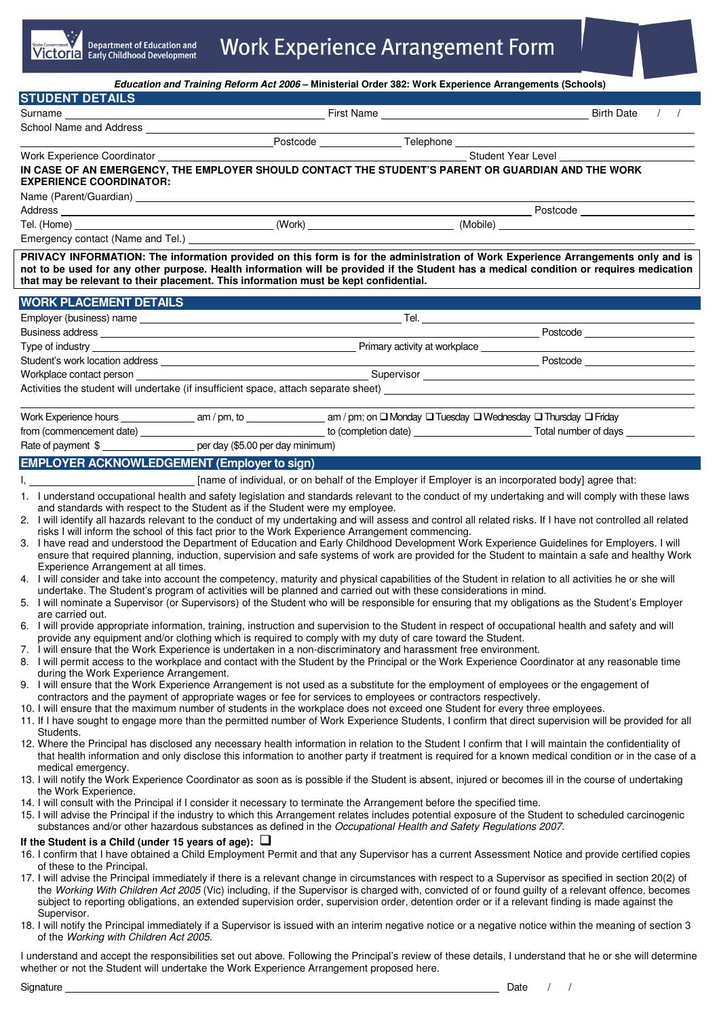|                                                                                                                                                                                                                                                                                                                                                                                                                                                                                                                                                                                                                                                                                                                                                                                                                                                                                                                                                                                                                                                                                                                                                                                                                                                                                                                                                                                                                                                                                                                                                                                                                                                                                                                                                                                                                                                                                                                                                                                                                                                                                                                                                                                                                                                                                                                                                                                                                                                                                                                                                                                                                                                                                                                                                                                                                                                                                                                                                                                                                                                                                                                                      |  | Education and Training Reform Act 2006 - Ministerial Order 382: Work Experience Arrangements (Schools)                               |               |
|--------------------------------------------------------------------------------------------------------------------------------------------------------------------------------------------------------------------------------------------------------------------------------------------------------------------------------------------------------------------------------------------------------------------------------------------------------------------------------------------------------------------------------------------------------------------------------------------------------------------------------------------------------------------------------------------------------------------------------------------------------------------------------------------------------------------------------------------------------------------------------------------------------------------------------------------------------------------------------------------------------------------------------------------------------------------------------------------------------------------------------------------------------------------------------------------------------------------------------------------------------------------------------------------------------------------------------------------------------------------------------------------------------------------------------------------------------------------------------------------------------------------------------------------------------------------------------------------------------------------------------------------------------------------------------------------------------------------------------------------------------------------------------------------------------------------------------------------------------------------------------------------------------------------------------------------------------------------------------------------------------------------------------------------------------------------------------------------------------------------------------------------------------------------------------------------------------------------------------------------------------------------------------------------------------------------------------------------------------------------------------------------------------------------------------------------------------------------------------------------------------------------------------------------------------------------------------------------------------------------------------------------------------------------------------------------------------------------------------------------------------------------------------------------------------------------------------------------------------------------------------------------------------------------------------------------------------------------------------------------------------------------------------------------------------------------------------------------------------------------------------------|--|--------------------------------------------------------------------------------------------------------------------------------------|---------------|
| <b>STUDENT DETAILS</b>                                                                                                                                                                                                                                                                                                                                                                                                                                                                                                                                                                                                                                                                                                                                                                                                                                                                                                                                                                                                                                                                                                                                                                                                                                                                                                                                                                                                                                                                                                                                                                                                                                                                                                                                                                                                                                                                                                                                                                                                                                                                                                                                                                                                                                                                                                                                                                                                                                                                                                                                                                                                                                                                                                                                                                                                                                                                                                                                                                                                                                                                                                               |  |                                                                                                                                      |               |
| Surname                                                                                                                                                                                                                                                                                                                                                                                                                                                                                                                                                                                                                                                                                                                                                                                                                                                                                                                                                                                                                                                                                                                                                                                                                                                                                                                                                                                                                                                                                                                                                                                                                                                                                                                                                                                                                                                                                                                                                                                                                                                                                                                                                                                                                                                                                                                                                                                                                                                                                                                                                                                                                                                                                                                                                                                                                                                                                                                                                                                                                                                                                                                              |  |                                                                                                                                      | $\frac{1}{2}$ |
|                                                                                                                                                                                                                                                                                                                                                                                                                                                                                                                                                                                                                                                                                                                                                                                                                                                                                                                                                                                                                                                                                                                                                                                                                                                                                                                                                                                                                                                                                                                                                                                                                                                                                                                                                                                                                                                                                                                                                                                                                                                                                                                                                                                                                                                                                                                                                                                                                                                                                                                                                                                                                                                                                                                                                                                                                                                                                                                                                                                                                                                                                                                                      |  |                                                                                                                                      |               |
| Work Experience Coordinator                                                                                                                                                                                                                                                                                                                                                                                                                                                                                                                                                                                                                                                                                                                                                                                                                                                                                                                                                                                                                                                                                                                                                                                                                                                                                                                                                                                                                                                                                                                                                                                                                                                                                                                                                                                                                                                                                                                                                                                                                                                                                                                                                                                                                                                                                                                                                                                                                                                                                                                                                                                                                                                                                                                                                                                                                                                                                                                                                                                                                                                                                                          |  | Student Year Level                                                                                                                   |               |
| IN CASE OF AN EMERGENCY, THE EMPLOYER SHOULD CONTACT THE STUDENT'S PARENT OR GUARDIAN AND THE WORK<br><b>EXPERIENCE COORDINATOR:</b>                                                                                                                                                                                                                                                                                                                                                                                                                                                                                                                                                                                                                                                                                                                                                                                                                                                                                                                                                                                                                                                                                                                                                                                                                                                                                                                                                                                                                                                                                                                                                                                                                                                                                                                                                                                                                                                                                                                                                                                                                                                                                                                                                                                                                                                                                                                                                                                                                                                                                                                                                                                                                                                                                                                                                                                                                                                                                                                                                                                                 |  |                                                                                                                                      |               |
| Name (Parent/Guardian) Manual Communication of the Communication of the Communication of the Communication of the Communication of the Communication of the Communication of the Communication of the Communication of the Com                                                                                                                                                                                                                                                                                                                                                                                                                                                                                                                                                                                                                                                                                                                                                                                                                                                                                                                                                                                                                                                                                                                                                                                                                                                                                                                                                                                                                                                                                                                                                                                                                                                                                                                                                                                                                                                                                                                                                                                                                                                                                                                                                                                                                                                                                                                                                                                                                                                                                                                                                                                                                                                                                                                                                                                                                                                                                                       |  |                                                                                                                                      |               |
|                                                                                                                                                                                                                                                                                                                                                                                                                                                                                                                                                                                                                                                                                                                                                                                                                                                                                                                                                                                                                                                                                                                                                                                                                                                                                                                                                                                                                                                                                                                                                                                                                                                                                                                                                                                                                                                                                                                                                                                                                                                                                                                                                                                                                                                                                                                                                                                                                                                                                                                                                                                                                                                                                                                                                                                                                                                                                                                                                                                                                                                                                                                                      |  |                                                                                                                                      |               |
|                                                                                                                                                                                                                                                                                                                                                                                                                                                                                                                                                                                                                                                                                                                                                                                                                                                                                                                                                                                                                                                                                                                                                                                                                                                                                                                                                                                                                                                                                                                                                                                                                                                                                                                                                                                                                                                                                                                                                                                                                                                                                                                                                                                                                                                                                                                                                                                                                                                                                                                                                                                                                                                                                                                                                                                                                                                                                                                                                                                                                                                                                                                                      |  |                                                                                                                                      |               |
| Emergency contact (Name and Tel.) <b>Emergency contact</b><br>PRIVACY INFORMATION: The information provided on this form is for the administration of Work Experience Arrangements only and is<br>not to be used for any other purpose. Health information will be provided if the Student has a medical condition or requires medication                                                                                                                                                                                                                                                                                                                                                                                                                                                                                                                                                                                                                                                                                                                                                                                                                                                                                                                                                                                                                                                                                                                                                                                                                                                                                                                                                                                                                                                                                                                                                                                                                                                                                                                                                                                                                                                                                                                                                                                                                                                                                                                                                                                                                                                                                                                                                                                                                                                                                                                                                                                                                                                                                                                                                                                            |  |                                                                                                                                      |               |
| that may be relevant to their placement. This information must be kept confidential.                                                                                                                                                                                                                                                                                                                                                                                                                                                                                                                                                                                                                                                                                                                                                                                                                                                                                                                                                                                                                                                                                                                                                                                                                                                                                                                                                                                                                                                                                                                                                                                                                                                                                                                                                                                                                                                                                                                                                                                                                                                                                                                                                                                                                                                                                                                                                                                                                                                                                                                                                                                                                                                                                                                                                                                                                                                                                                                                                                                                                                                 |  |                                                                                                                                      |               |
| <b>WORK PLACEMENT DETAILS</b>                                                                                                                                                                                                                                                                                                                                                                                                                                                                                                                                                                                                                                                                                                                                                                                                                                                                                                                                                                                                                                                                                                                                                                                                                                                                                                                                                                                                                                                                                                                                                                                                                                                                                                                                                                                                                                                                                                                                                                                                                                                                                                                                                                                                                                                                                                                                                                                                                                                                                                                                                                                                                                                                                                                                                                                                                                                                                                                                                                                                                                                                                                        |  |                                                                                                                                      |               |
|                                                                                                                                                                                                                                                                                                                                                                                                                                                                                                                                                                                                                                                                                                                                                                                                                                                                                                                                                                                                                                                                                                                                                                                                                                                                                                                                                                                                                                                                                                                                                                                                                                                                                                                                                                                                                                                                                                                                                                                                                                                                                                                                                                                                                                                                                                                                                                                                                                                                                                                                                                                                                                                                                                                                                                                                                                                                                                                                                                                                                                                                                                                                      |  |                                                                                                                                      |               |
|                                                                                                                                                                                                                                                                                                                                                                                                                                                                                                                                                                                                                                                                                                                                                                                                                                                                                                                                                                                                                                                                                                                                                                                                                                                                                                                                                                                                                                                                                                                                                                                                                                                                                                                                                                                                                                                                                                                                                                                                                                                                                                                                                                                                                                                                                                                                                                                                                                                                                                                                                                                                                                                                                                                                                                                                                                                                                                                                                                                                                                                                                                                                      |  |                                                                                                                                      |               |
|                                                                                                                                                                                                                                                                                                                                                                                                                                                                                                                                                                                                                                                                                                                                                                                                                                                                                                                                                                                                                                                                                                                                                                                                                                                                                                                                                                                                                                                                                                                                                                                                                                                                                                                                                                                                                                                                                                                                                                                                                                                                                                                                                                                                                                                                                                                                                                                                                                                                                                                                                                                                                                                                                                                                                                                                                                                                                                                                                                                                                                                                                                                                      |  |                                                                                                                                      |               |
|                                                                                                                                                                                                                                                                                                                                                                                                                                                                                                                                                                                                                                                                                                                                                                                                                                                                                                                                                                                                                                                                                                                                                                                                                                                                                                                                                                                                                                                                                                                                                                                                                                                                                                                                                                                                                                                                                                                                                                                                                                                                                                                                                                                                                                                                                                                                                                                                                                                                                                                                                                                                                                                                                                                                                                                                                                                                                                                                                                                                                                                                                                                                      |  | entitive and the contract of the Postcode entities are the contract of the contract of the contract of the con                       |               |
|                                                                                                                                                                                                                                                                                                                                                                                                                                                                                                                                                                                                                                                                                                                                                                                                                                                                                                                                                                                                                                                                                                                                                                                                                                                                                                                                                                                                                                                                                                                                                                                                                                                                                                                                                                                                                                                                                                                                                                                                                                                                                                                                                                                                                                                                                                                                                                                                                                                                                                                                                                                                                                                                                                                                                                                                                                                                                                                                                                                                                                                                                                                                      |  |                                                                                                                                      |               |
|                                                                                                                                                                                                                                                                                                                                                                                                                                                                                                                                                                                                                                                                                                                                                                                                                                                                                                                                                                                                                                                                                                                                                                                                                                                                                                                                                                                                                                                                                                                                                                                                                                                                                                                                                                                                                                                                                                                                                                                                                                                                                                                                                                                                                                                                                                                                                                                                                                                                                                                                                                                                                                                                                                                                                                                                                                                                                                                                                                                                                                                                                                                                      |  |                                                                                                                                      |               |
|                                                                                                                                                                                                                                                                                                                                                                                                                                                                                                                                                                                                                                                                                                                                                                                                                                                                                                                                                                                                                                                                                                                                                                                                                                                                                                                                                                                                                                                                                                                                                                                                                                                                                                                                                                                                                                                                                                                                                                                                                                                                                                                                                                                                                                                                                                                                                                                                                                                                                                                                                                                                                                                                                                                                                                                                                                                                                                                                                                                                                                                                                                                                      |  |                                                                                                                                      |               |
|                                                                                                                                                                                                                                                                                                                                                                                                                                                                                                                                                                                                                                                                                                                                                                                                                                                                                                                                                                                                                                                                                                                                                                                                                                                                                                                                                                                                                                                                                                                                                                                                                                                                                                                                                                                                                                                                                                                                                                                                                                                                                                                                                                                                                                                                                                                                                                                                                                                                                                                                                                                                                                                                                                                                                                                                                                                                                                                                                                                                                                                                                                                                      |  |                                                                                                                                      |               |
| Rate of payment \$ ______________________ per day (\$5.00 per day minimum)                                                                                                                                                                                                                                                                                                                                                                                                                                                                                                                                                                                                                                                                                                                                                                                                                                                                                                                                                                                                                                                                                                                                                                                                                                                                                                                                                                                                                                                                                                                                                                                                                                                                                                                                                                                                                                                                                                                                                                                                                                                                                                                                                                                                                                                                                                                                                                                                                                                                                                                                                                                                                                                                                                                                                                                                                                                                                                                                                                                                                                                           |  |                                                                                                                                      |               |
| <b>EMPLOYER ACKNOWLEDGEMENT (Employer to sign)</b>                                                                                                                                                                                                                                                                                                                                                                                                                                                                                                                                                                                                                                                                                                                                                                                                                                                                                                                                                                                                                                                                                                                                                                                                                                                                                                                                                                                                                                                                                                                                                                                                                                                                                                                                                                                                                                                                                                                                                                                                                                                                                                                                                                                                                                                                                                                                                                                                                                                                                                                                                                                                                                                                                                                                                                                                                                                                                                                                                                                                                                                                                   |  |                                                                                                                                      |               |
|                                                                                                                                                                                                                                                                                                                                                                                                                                                                                                                                                                                                                                                                                                                                                                                                                                                                                                                                                                                                                                                                                                                                                                                                                                                                                                                                                                                                                                                                                                                                                                                                                                                                                                                                                                                                                                                                                                                                                                                                                                                                                                                                                                                                                                                                                                                                                                                                                                                                                                                                                                                                                                                                                                                                                                                                                                                                                                                                                                                                                                                                                                                                      |  |                                                                                                                                      |               |
| and standards with respect to the Student as if the Student were my employee.<br>2. I will identify all hazards relevant to the conduct of my undertaking and will assess and control all related risks. If I have not controlled all related<br>risks I will inform the school of this fact prior to the Work Experience Arrangement commencing.<br>3. I have read and understood the Department of Education and Early Childhood Development Work Experience Guidelines for Employers. I will<br>ensure that required planning, induction, supervision and safe systems of work are provided for the Student to maintain a safe and healthy Work<br>Experience Arrangement at all times.<br>4. I will consider and take into account the competency, maturity and physical capabilities of the Student in relation to all activities he or she will<br>undertake. The Student's program of activities will be planned and carried out with these considerations in mind.<br>5. I will nominate a Supervisor (or Supervisors) of the Student who will be responsible for ensuring that my obligations as the Student's Employer<br>are carried out.<br>6. I will provide appropriate information, training, instruction and supervision to the Student in respect of occupational health and safety and will<br>provide any equipment and/or clothing which is required to comply with my duty of care toward the Student.<br>7. I will ensure that the Work Experience is undertaken in a non-discriminatory and harassment free environment.<br>8. I will permit access to the workplace and contact with the Student by the Principal or the Work Experience Coordinator at any reasonable time<br>during the Work Experience Arrangement.<br>9. I will ensure that the Work Experience Arrangement is not used as a substitute for the employment of employees or the engagement of<br>contractors and the payment of appropriate wages or fee for services to employees or contractors respectively.<br>10. I will ensure that the maximum number of students in the workplace does not exceed one Student for every three employees.<br>11. If I have sought to engage more than the permitted number of Work Experience Students, I confirm that direct supervision will be provided for all<br>Students.<br>12. Where the Principal has disclosed any necessary health information in relation to the Student I confirm that I will maintain the confidentiality of<br>that health information and only disclose this information to another party if treatment is required for a known medical condition or in the case of a<br>medical emergency.<br>13. I will notify the Work Experience Coordinator as soon as is possible if the Student is absent, injured or becomes ill in the course of undertaking<br>the Work Experience.<br>14. I will consult with the Principal if I consider it necessary to terminate the Arrangement before the specified time.<br>15. I will advise the Principal if the industry to which this Arrangement relates includes potential exposure of the Student to scheduled carcinogenic |  |                                                                                                                                      |               |
| substances and/or other hazardous substances as defined in the Occupational Health and Safety Regulations 2007.<br>If the Student is a Child (under 15 years of age): $\Box$<br>16. I confirm that I have obtained a Child Employment Permit and that any Supervisor has a current Assessment Notice and provide certified copies<br>of these to the Principal.<br>17. I will advise the Principal immediately if there is a relevant change in circumstances with respect to a Supervisor as specified in section 20(2) of<br>the Working With Children Act 2005 (Vic) including, if the Supervisor is charged with, convicted of or found guilty of a relevant offence, becomes<br>subject to reporting obligations, an extended supervision order, supervision order, detention order or if a relevant finding is made against the<br>Supervisor.<br>18. I will notify the Principal immediately if a Supervisor is issued with an interim negative notice or a negative notice within the meaning of section 3<br>of the Working with Children Act 2005.                                                                                                                                                                                                                                                                                                                                                                                                                                                                                                                                                                                                                                                                                                                                                                                                                                                                                                                                                                                                                                                                                                                                                                                                                                                                                                                                                                                                                                                                                                                                                                                                                                                                                                                                                                                                                                                                                                                                                                                                                                                                         |  |                                                                                                                                      |               |
|                                                                                                                                                                                                                                                                                                                                                                                                                                                                                                                                                                                                                                                                                                                                                                                                                                                                                                                                                                                                                                                                                                                                                                                                                                                                                                                                                                                                                                                                                                                                                                                                                                                                                                                                                                                                                                                                                                                                                                                                                                                                                                                                                                                                                                                                                                                                                                                                                                                                                                                                                                                                                                                                                                                                                                                                                                                                                                                                                                                                                                                                                                                                      |  | coant the reapengulities act autopical Fellowing the Drippine's review of these details. Lunderstand that he as above ujud determine |               |

I understand and accept the responsibilities set out above. Following the Principal's review of these details, I understand that he or she will determine whether or not the Student will undertake the Work Experience Arrangement proposed here.